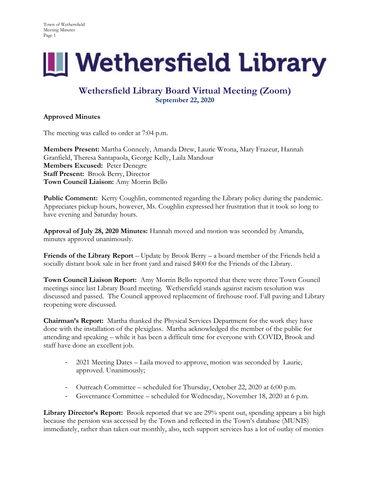

## **Wethersfield Library Board Virtual Meeting (Zoom) September 22, 2020**

## **Approved Minutes**

The meeting was called to order at 7:04 p.m.

**Members Present:** Martha Conneely, Amanda Drew, Laurie Wrona, Mary Frazeur, Hannah Granfield, Theresa Santapaola, George Kelly, Laila Mandour **Members Excused:** Peter Denegre **Staff Present:** Brook Berry, Director **Town Council Liaison:** Amy Morrin Bello

**Public Comment:** Kerry Coughlin, commented regarding the Library policy during the pandemic. Appreciates pickup hours, however, Ms. Coughlin expressed her frustration that it took so long to have evening and Saturday hours.

**Approval of July 28, 2020 Minutes:** Hannah moved and motion was seconded by Amanda, minutes approved unanimously.

**Friends of the Library Report** – Update by Brook Berry – a board member of the Friends held a socially distant book sale in her front yard and raised \$400 for the Friends of the Library.

**Town Council Liaison Report:** Amy Morrin Bello reported that there were three Town Council meetings since last Library Board meeting. Wethersfield stands against racism resolution was discussed and passed. The Council approved replacement of firehouse roof. Fall paving and Library reopening were discussed.

**Chairman's Report:** Martha thanked the Physical Services Department for the work they have done with the installation of the plexiglass. Martha acknowledged the member of the public for attending and speaking – while it has been a difficult time for everyone with COVID, Brook and staff have done an excellent job.

- 2021 Meeting Dates Laila moved to approve, motion was seconded by Laurie, approved. Unanimously;
- Outreach Committee scheduled for Thursday, October 22, 2020 at 6:00 p.m.
- Governance Committee scheduled for Wednesday, November 18, 2020 at 6 p.m.

Library Director's Report: Brook reported that we are 29% spent out, spending appears a bit high because the pension was accessed by the Town and reflected in the Town's database (MUNIS) immediately, rather than taken out monthly, also, tech support services has a lot of outlay of monies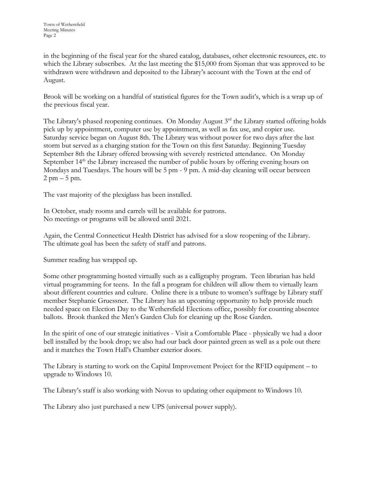in the beginning of the fiscal year for the shared catalog, databases, other electronic resources, etc. to which the Library subscribes. At the last meeting the \$15,000 from Sjoman that was approved to be withdrawn were withdrawn and deposited to the Library's account with the Town at the end of August.

Brook will be working on a handful of statistical figures for the Town audit's, which is a wrap up of the previous fiscal year.

The Library's phased reopening continues. On Monday August 3<sup>rd</sup> the Library started offering holds pick up by appointment, computer use by appointment, as well as fax use, and copier use. Saturday service began on August 8th. The Library was without power for two days after the last storm but served as a charging station for the Town on this first Saturday. Beginning Tuesday September 8th the Library offered browsing with severely restricted attendance. On Monday September  $14<sup>th</sup>$  the Library increased the number of public hours by offering evening hours on Mondays and Tuesdays. The hours will be 5 pm - 9 pm. A mid-day cleaning will occur between  $2 \text{ pm} - 5 \text{ pm}$ .

The vast majority of the plexiglass has been installed.

In October, study rooms and carrels will be available for patrons. No meetings or programs will be allowed until 2021.

Again, the Central Connecticut Health District has advised for a slow reopening of the Library. The ultimate goal has been the safety of staff and patrons.

Summer reading has wrapped up.

Some other programming hosted virtually such as a calligraphy program. Teen librarian has held virtual programming for teens. In the fall a program for children will allow them to virtually learn about different countries and culture. Online there is a tribute to women's suffrage by Library staff member Stephanie Gruessner. The Library has an upcoming opportunity to help provide much needed space on Election Day to the Wethersfield Elections office, possibly for counting absentee ballots. Brook thanked the Men's Garden Club for cleaning up the Rose Garden.

In the spirit of one of our strategic initiatives - Visit a Comfortable Place - physically we had a door bell installed by the book drop; we also had our back door painted green as well as a pole out there and it matches the Town Hall's Chamber exterior doors.

The Library is starting to work on the Capital Improvement Project for the RFID equipment – to upgrade to Windows 10.

The Library's staff is also working with Novus to updating other equipment to Windows 10.

The Library also just purchased a new UPS (universal power supply).